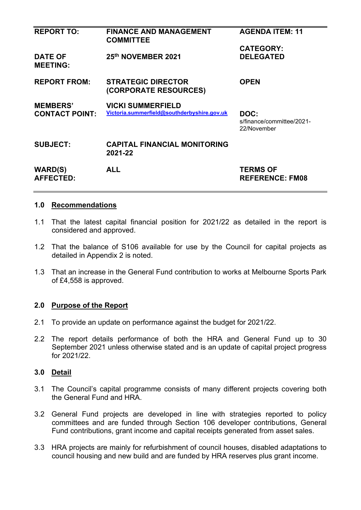| <b>REPORT TO:</b>                        | <b>FINANCE AND MANAGEMENT</b><br><b>COMMITTEE</b>                       | <b>AGENDA ITEM: 11</b>                           |
|------------------------------------------|-------------------------------------------------------------------------|--------------------------------------------------|
|                                          |                                                                         | <b>CATEGORY:</b>                                 |
| <b>DATE OF</b><br><b>MEETING:</b>        | 25th NOVEMBER 2021                                                      | <b>DELEGATED</b>                                 |
| <b>REPORT FROM:</b>                      | <b>STRATEGIC DIRECTOR</b>                                               | <b>OPEN</b>                                      |
|                                          | (CORPORATE RESOURCES)                                                   |                                                  |
| <b>MEMBERS'</b><br><b>CONTACT POINT:</b> | <b>VICKI SUMMERFIELD</b><br>Victoria.summerfield@southderbyshire.gov.uk | DOC:<br>s/finance/committee/2021-<br>22/November |
| <b>SUBJECT:</b>                          | <b>CAPITAL FINANCIAL MONITORING</b><br>2021-22                          |                                                  |
| <b>WARD(S)</b><br><b>AFFECTED:</b>       | <b>ALL</b>                                                              | <b>TERMS OF</b><br><b>REFERENCE: FM08</b>        |

## **1.0 Recommendations**

- 1.1 That the latest capital financial position for 2021/22 as detailed in the report is considered and approved.
- 1.2 That the balance of S106 available for use by the Council for capital projects as detailed in Appendix 2 is noted.
- 1.3 That an increase in the General Fund contribution to works at Melbourne Sports Park of £4,558 is approved.

## **2.0 Purpose of the Report**

- 2.1 To provide an update on performance against the budget for 2021/22.
- 2.2 The report details performance of both the HRA and General Fund up to 30 September 2021 unless otherwise stated and is an update of capital project progress for 2021/22.

## **3.0 Detail**

- 3.1 The Council's capital programme consists of many different projects covering both the General Fund and HRA.
- 3.2 General Fund projects are developed in line with strategies reported to policy committees and are funded through Section 106 developer contributions, General Fund contributions, grant income and capital receipts generated from asset sales.
- 3.3 HRA projects are mainly for refurbishment of council houses, disabled adaptations to council housing and new build and are funded by HRA reserves plus grant income.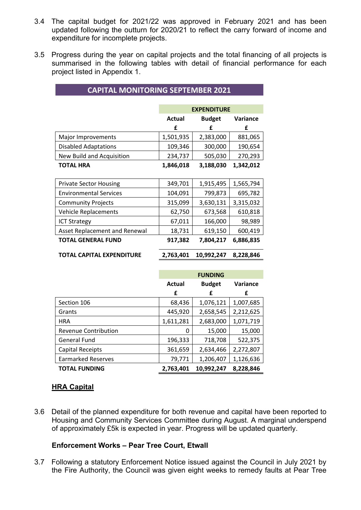- 3.4 The capital budget for 2021/22 was approved in February 2021 and has been updated following the outturn for 2020/21 to reflect the carry forward of income and expenditure for incomplete projects.
- 3.5 Progress during the year on capital projects and the total financing of all projects is summarised in the following tables with detail of financial performance for each project listed in Appendix 1.

|                               | <b>EXPENDITURE</b> |               |                 |  |
|-------------------------------|--------------------|---------------|-----------------|--|
|                               | <b>Actual</b>      | <b>Budget</b> | <b>Variance</b> |  |
|                               | £                  | £             | £               |  |
| Major Improvements            | 1,501,935          | 2,383,000     | 881,065         |  |
| <b>Disabled Adaptations</b>   | 109,346            | 300,000       | 190,654         |  |
| New Build and Acquisition     | 234,737            | 505,030       | 270,293         |  |
| <b>TOTAL HRA</b>              | 1,846,018          | 3,188,030     | 1,342,012       |  |
|                               |                    |               |                 |  |
| <b>Private Sector Housing</b> | 349,701            | 1,915,495     | 1,565,794       |  |
| <b>Environmental Services</b> | 104,091            | 799,873       | 695,782         |  |
| <b>Community Projects</b>     | 315,099            | 3,630,131     | 3,315,032       |  |
| <b>Vehicle Replacements</b>   | 62,750             | 673,568       | 610,818         |  |
| <b>ICT Strategy</b>           | 67,011             | 166,000       | 98,989          |  |
| Asset Replacement and Renewal | 18,731             | 619,150       | 600,419         |  |
| <b>TOTAL GENERAL FUND</b>     | 917,382            | 7,804,217     | 6,886,835       |  |
| TOTAL CAPITAL EXPENDITURE     | 2,763,401          | 10,992,247    | 8,228,846       |  |

**CAPITAL MONITORING SEPTEMBER 2021** 

|                           | <b>FUNDING</b> |            |           |  |  |
|---------------------------|----------------|------------|-----------|--|--|
|                           | <b>Actual</b>  | Variance   |           |  |  |
|                           | £              | £          | £         |  |  |
| Section 106               | 68,436         | 1,076,121  | 1,007,685 |  |  |
| Grants                    | 445,920        | 2,658,545  | 2,212,625 |  |  |
| <b>HRA</b>                | 1,611,281      | 2,683,000  | 1,071,719 |  |  |
| Revenue Contribution      | 0              | 15,000     | 15,000    |  |  |
| <b>General Fund</b>       | 196,333        | 718,708    | 522,375   |  |  |
| Capital Receipts          | 361,659        | 2,634,466  | 2,272,807 |  |  |
| <b>Earmarked Reserves</b> | 79,771         | 1,206,407  | 1,126,636 |  |  |
| <b>TOTAL FUNDING</b>      | 2,763,401      | 10,992,247 | 8,228,846 |  |  |

# **HRA Capital**

3.6 Detail of the planned expenditure for both revenue and capital have been reported to Housing and Community Services Committee during August. A marginal underspend of approximately £5k is expected in year. Progress will be updated quarterly.

# **Enforcement Works – Pear Tree Court, Etwall**

3.7 Following a statutory Enforcement Notice issued against the Council in July 2021 by the Fire Authority, the Council was given eight weeks to remedy faults at Pear Tree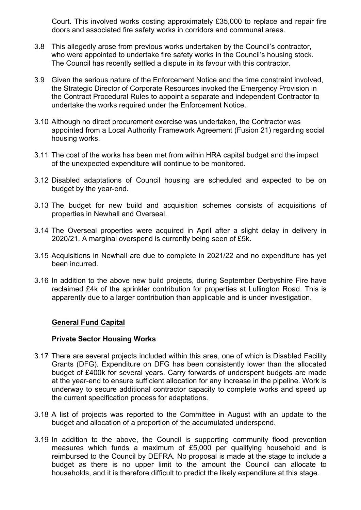Court. This involved works costing approximately £35,000 to replace and repair fire doors and associated fire safety works in corridors and communal areas.

- 3.8 This allegedly arose from previous works undertaken by the Council's contractor, who were appointed to undertake fire safety works in the Council's housing stock. The Council has recently settled a dispute in its favour with this contractor.
- 3.9 Given the serious nature of the Enforcement Notice and the time constraint involved, the Strategic Director of Corporate Resources invoked the Emergency Provision in the Contract Procedural Rules to appoint a separate and independent Contractor to undertake the works required under the Enforcement Notice.
- 3.10 Although no direct procurement exercise was undertaken, the Contractor was appointed from a Local Authority Framework Agreement (Fusion 21) regarding social housing works.
- 3.11 The cost of the works has been met from within HRA capital budget and the impact of the unexpected expenditure will continue to be monitored.
- 3.12 Disabled adaptations of Council housing are scheduled and expected to be on budget by the year-end.
- 3.13 The budget for new build and acquisition schemes consists of acquisitions of properties in Newhall and Overseal.
- 3.14 The Overseal properties were acquired in April after a slight delay in delivery in 2020/21. A marginal overspend is currently being seen of £5k.
- 3.15 Acquisitions in Newhall are due to complete in 2021/22 and no expenditure has yet been incurred.
- 3.16 In addition to the above new build projects, during September Derbyshire Fire have reclaimed £4k of the sprinkler contribution for properties at Lullington Road. This is apparently due to a larger contribution than applicable and is under investigation.

## **General Fund Capital**

## **Private Sector Housing Works**

- 3.17 There are several projects included within this area, one of which is Disabled Facility Grants (DFG). Expenditure on DFG has been consistently lower than the allocated budget of £400k for several years. Carry forwards of underspent budgets are made at the year-end to ensure sufficient allocation for any increase in the pipeline. Work is underway to secure additional contractor capacity to complete works and speed up the current specification process for adaptations.
- 3.18 A list of projects was reported to the Committee in August with an update to the budget and allocation of a proportion of the accumulated underspend.
- 3.19 In addition to the above, the Council is supporting community flood prevention measures which funds a maximum of £5,000 per qualifying household and is reimbursed to the Council by DEFRA. No proposal is made at the stage to include a budget as there is no upper limit to the amount the Council can allocate to households, and it is therefore difficult to predict the likely expenditure at this stage.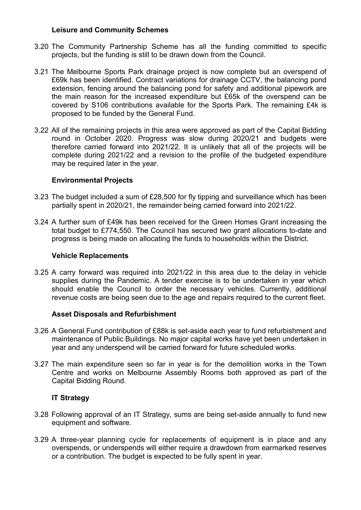## **Leisure and Community Schemes**

- 3.20 The Community Partnership Scheme has all the funding committed to specific projects, but the funding is still to be drawn down from the Council.
- 3.21 The Melbourne Sports Park drainage project is now complete but an overspend of £69k has been identified. Contract variations for drainage CCTV, the balancing pond extension, fencing around the balancing pond for safety and additional pipework are the main reason for the increased expenditure but £65k of the overspend can be covered by S106 contributions available for the Sports Park. The remaining £4k is proposed to be funded by the General Fund.
- 3.22 All of the remaining projects in this area were approved as part of the Capital Bidding round in October 2020. Progress was slow during 2020/21 and budgets were therefore carried forward into 2021/22. It is unlikely that all of the projects will be complete during 2021/22 and a revision to the profile of the budgeted expenditure may be required later in the year.

## **Environmental Projects**

- 3.23 The budget included a sum of £28,500 for fly tipping and surveillance which has been partially spent in 2020/21, the remainder being carried forward into 2021/22.
- 3.24 A further sum of £49k has been received for the Green Homes Grant increasing the total budget to £774,550. The Council has secured two grant allocations to-date and progress is being made on allocating the funds to households within the District.

## **Vehicle Replacements**

3.25 A carry forward was required into 2021/22 in this area due to the delay in vehicle supplies during the Pandemic. A tender exercise is to be undertaken in year which should enable the Council to order the necessary vehicles. Currently, additional revenue costs are being seen due to the age and repairs required to the current fleet.

## **Asset Disposals and Refurbishment**

- 3.26 A General Fund contribution of £88k is set-aside each year to fund refurbishment and maintenance of Public Buildings. No major capital works have yet been undertaken in year and any underspend will be carried forward for future scheduled works.
- 3.27 The main expenditure seen so far in year is for the demolition works in the Town Centre and works on Melbourne Assembly Rooms both approved as part of the Capital Bidding Round.

## **IT Strategy**

- 3.28 Following approval of an IT Strategy, sums are being set-aside annually to fund new equipment and software.
- 3.29 A three-year planning cycle for replacements of equipment is in place and any overspends, or underspends will either require a drawdown from earmarked reserves or a contribution. The budget is expected to be fully spent in year.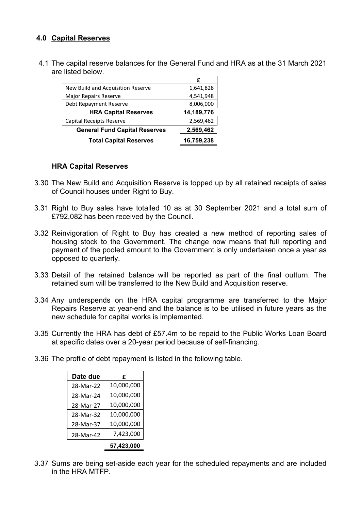# **4.0 Capital Reserves**

4.1 The capital reserve balances for the General Fund and HRA as at the 31 March 2021 are listed below. **£**   $\overline{\phantom{0}}$ 

| New Build and Acquisition Reserve    | 1,641,828  |
|--------------------------------------|------------|
| <b>Major Repairs Reserve</b>         | 4,541,948  |
| Debt Repayment Reserve               | 8,006,000  |
| <b>HRA Capital Reserves</b>          | 14,189,776 |
| Capital Receipts Reserve             | 2,569,462  |
| <b>General Fund Capital Reserves</b> | 2,569,462  |
| <b>Total Capital Reserves</b>        | 16,759,238 |

## **HRA Capital Reserves**

- 3.30 The New Build and Acquisition Reserve is topped up by all retained receipts of sales of Council houses under Right to Buy.
- 3.31 Right to Buy sales have totalled 10 as at 30 September 2021 and a total sum of £792,082 has been received by the Council.
- 3.32 Reinvigoration of Right to Buy has created a new method of reporting sales of housing stock to the Government. The change now means that full reporting and payment of the pooled amount to the Government is only undertaken once a year as opposed to quarterly.
- 3.33 Detail of the retained balance will be reported as part of the final outturn. The retained sum will be transferred to the New Build and Acquisition reserve.
- 3.34 Any underspends on the HRA capital programme are transferred to the Major Repairs Reserve at year-end and the balance is to be utilised in future years as the new schedule for capital works is implemented.
- 3.35 Currently the HRA has debt of £57.4m to be repaid to the Public Works Loan Board at specific dates over a 20-year period because of self-financing.
- 3.36 The profile of debt repayment is listed in the following table.

| Date due  | £          |
|-----------|------------|
| 28-Mar-22 | 10,000,000 |
| 28-Mar-24 | 10,000,000 |
| 28-Mar-27 | 10,000,000 |
| 28-Mar-32 | 10,000,000 |
| 28-Mar-37 | 10,000,000 |
| 28-Mar-42 | 7,423,000  |
|           | 57,423,000 |

3.37 Sums are being set-aside each year for the scheduled repayments and are included in the HRA MTFP.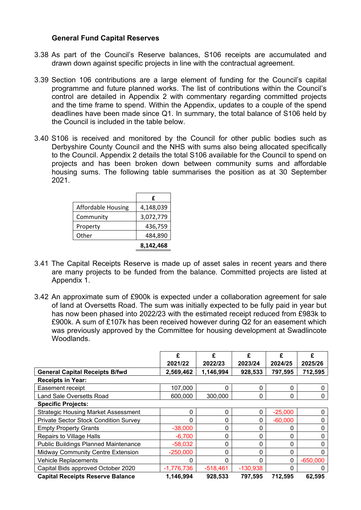### **General Fund Capital Reserves**

- 3.38 As part of the Council's Reserve balances, S106 receipts are accumulated and drawn down against specific projects in line with the contractual agreement.
- 3.39 Section 106 contributions are a large element of funding for the Council's capital programme and future planned works. The list of contributions within the Council's control are detailed in Appendix 2 with commentary regarding committed projects and the time frame to spend. Within the Appendix, updates to a couple of the spend deadlines have been made since Q1. In summary, the total balance of S106 held by the Council is included in the table below.
- 3.40 S106 is received and monitored by the Council for other public bodies such as Derbyshire County Council and the NHS with sums also being allocated specifically to the Council. Appendix 2 details the total S106 available for the Council to spend on projects and has been broken down between community sums and affordable housing sums. The following table summarises the position as at 30 September 2021.

|                           | f         |
|---------------------------|-----------|
| <b>Affordable Housing</b> | 4,148,039 |
| Community                 | 3,072,779 |
| Property                  | 436,759   |
| Other                     | 484,890   |
|                           | 8,142,468 |

- 3.41 The Capital Receipts Reserve is made up of asset sales in recent years and there are many projects to be funded from the balance. Committed projects are listed at Appendix 1.
- 3.42 An approximate sum of £900k is expected under a collaboration agreement for sale of land at Oversetts Road. The sum was initially expected to be fully paid in year but has now been phased into 2022/23 with the estimated receipt reduced from £983k to £900k. A sum of £107k has been received however during Q2 for an easement which was previously approved by the Committee for housing development at Swadlincote Woodlands.

|                                              | £<br>2021/22 | £<br>2022/23 | £<br>2023/24 | £<br>2024/25 | £<br>2025/26 |
|----------------------------------------------|--------------|--------------|--------------|--------------|--------------|
| <b>General Capital Receipts B/fwd</b>        | 2,569,462    | 1,146,994    | 928,533      | 797,595      | 712,595      |
| <b>Receipts in Year:</b>                     |              |              |              |              |              |
| Easement receipt                             | 107,000      | 0            | 0            | 0            | 0            |
| Land Sale Oversetts Road                     | 600,000      | 300,000      | 0            | $\Omega$     | 0            |
| <b>Specific Projects:</b>                    |              |              |              |              |              |
| <b>Strategic Housing Market Assessment</b>   | 0            | 0            | 0            | $-25,000$    | 0            |
| <b>Private Sector Stock Condition Survey</b> | 0            | 0            | $\Omega$     | $-60,000$    | 0            |
| <b>Empty Property Grants</b>                 | $-38,000$    | 0            | 0            | 0            | 0            |
| Repairs to Village Halls                     | $-6,700$     | 0            | 0            | 0            | 0            |
| <b>Public Buildings Planned Maintenance</b>  | $-58,032$    | 0            | $\mathbf{0}$ | $\Omega$     | 0            |
| Midway Community Centre Extension            | $-250,000$   | 0            | 0            | 0            | 0            |
| Vehicle Replacements                         | 0            | 0            | 0            | 0            | $-650,000$   |
| Capital Bids approved October 2020           | $-1,776,736$ | $-518,461$   | $-130,938$   | 0            | $\Omega$     |
| <b>Capital Receipts Reserve Balance</b>      | 1,146,994    | 928,533      | 797,595      | 712,595      | 62,595       |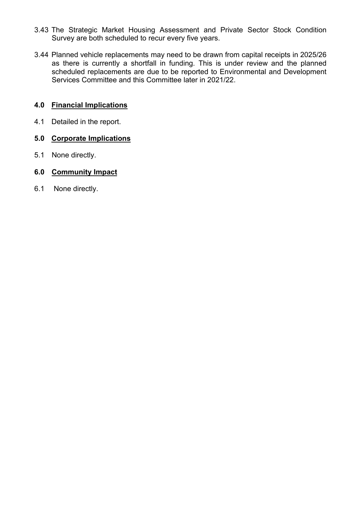- 3.43 The Strategic Market Housing Assessment and Private Sector Stock Condition Survey are both scheduled to recur every five years.
- 3.44 Planned vehicle replacements may need to be drawn from capital receipts in 2025/26 as there is currently a shortfall in funding. This is under review and the planned scheduled replacements are due to be reported to Environmental and Development Services Committee and this Committee later in 2021/22.

## **4.0 Financial Implications**

4.1 Detailed in the report.

## **5.0 Corporate Implications**

5.1 None directly.

# **6.0 Community Impact**

6.1 None directly.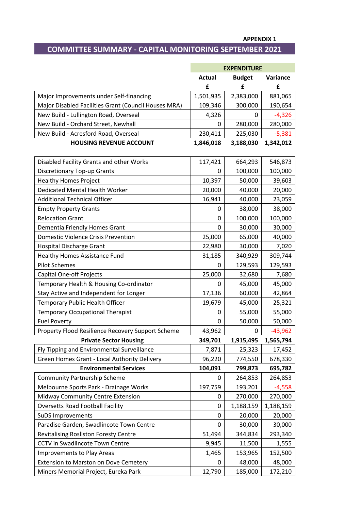#### **APPENDIX 1**

# **COMMITTEE SUMMARY - CAPITAL MONITORING SEPTEMBER 2021**

|                                                      |               | <b>EXPENDITURE</b> |           |
|------------------------------------------------------|---------------|--------------------|-----------|
|                                                      | <b>Actual</b> | <b>Budget</b>      | Variance  |
|                                                      | £             | £                  | £         |
| Major Improvements under Self-financing              | 1,501,935     | 2,383,000          | 881,065   |
| Major Disabled Facilities Grant (Council Houses MRA) | 109,346       | 300,000            | 190,654   |
| New Build - Lullington Road, Overseal                | 4,326         | 0                  | $-4,326$  |
| New Build - Orchard Street, Newhall                  | 0             | 280,000            | 280,000   |
| New Build - Acresford Road, Overseal                 | 230,411       | 225,030            | $-5,381$  |
| <b>HOUSING REVENUE ACCOUNT</b>                       | 1,846,018     | 3,188,030          | 1,342,012 |
|                                                      |               |                    |           |
| Disabled Facility Grants and other Works             | 117,421       | 664,293            | 546,873   |
| <b>Discretionary Top-up Grants</b>                   | 0             | 100,000            | 100,000   |
| <b>Healthy Homes Project</b>                         | 10,397        | 50,000             | 39,603    |
| Dedicated Mental Health Worker                       | 20,000        | 40,000             | 20,000    |
| <b>Additional Technical Officer</b>                  | 16,941        | 40,000             | 23,059    |
| <b>Empty Property Grants</b>                         | 0             | 38,000             | 38,000    |
| <b>Relocation Grant</b>                              | $\mathbf 0$   | 100,000            | 100,000   |
| Dementia Friendly Homes Grant                        | $\mathbf{0}$  | 30,000             | 30,000    |
| <b>Domestic Violence Crisis Prevention</b>           | 25,000        | 65,000             | 40,000    |
| Hospital Discharge Grant                             | 22,980        | 30,000             | 7,020     |
| <b>Healthy Homes Assistance Fund</b>                 | 31,185        | 340,929            | 309,744   |
| <b>Pilot Schemes</b>                                 | 0             | 129,593            | 129,593   |
| <b>Capital One-off Projects</b>                      | 25,000        | 32,680             | 7,680     |
| Temporary Health & Housing Co-ordinator              | 0             | 45,000             | 45,000    |
| Stay Active and Independent for Longer               | 17,136        | 60,000             | 42,864    |
| Temporary Public Health Officer                      | 19,679        | 45,000             | 25,321    |
| <b>Temporary Occupational Therapist</b>              | 0             | 55,000             | 55,000    |
| <b>Fuel Poverty</b>                                  | $\mathbf{0}$  | 50,000             | 50,000    |
| Property Flood Resilience Recovery Support Scheme    | 43,962        | 0                  | $-43,962$ |
| <b>Private Sector Housing</b>                        | 349,701       | 1,915,495          | 1,565,794 |
| Fly Tipping and Environmental Surveillance           | 7,871         | 25,323             | 17,452    |
| Green Homes Grant - Local Authority Delivery         | 96,220        | 774,550            | 678,330   |
| <b>Environmental Services</b>                        | 104,091       | 799,873            | 695,782   |
| <b>Community Partnership Scheme</b>                  | 0             | 264,853            | 264,853   |
| Melbourne Sports Park - Drainage Works               | 197,759       | 193,201            | $-4,558$  |
| <b>Midway Community Centre Extension</b>             | 0             | 270,000            | 270,000   |
| <b>Oversetts Road Football Facility</b>              | 0             | 1,188,159          | 1,188,159 |
| <b>SuDS Improvements</b>                             | 0             | 20,000             | 20,000    |
| Paradise Garden, Swadlincote Town Centre             | 0             | 30,000             | 30,000    |
| <b>Revitalising Rosliston Foresty Centre</b>         | 51,494        | 344,834            | 293,340   |
| <b>CCTV</b> in Swadlincote Town Centre               | 9,945         | 11,500             | 1,555     |
| <b>Improvements to Play Areas</b>                    | 1,465         | 153,965            | 152,500   |
| <b>Extension to Marston on Dove Cemetery</b>         | 0             | 48,000             | 48,000    |
| Miners Memorial Project, Eureka Park                 | 12,790        | 185,000            | 172,210   |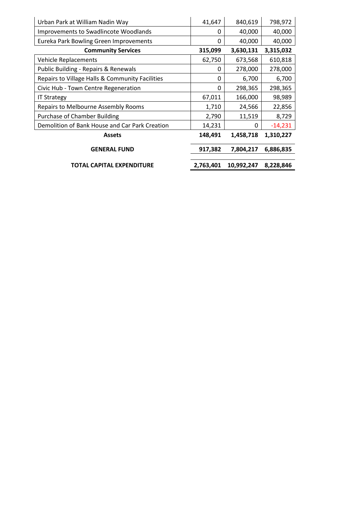| Urban Park at William Nadin Way                 | 41,647    | 840,619    | 798,972   |
|-------------------------------------------------|-----------|------------|-----------|
| <b>Improvements to Swadlincote Woodlands</b>    | 0         | 40,000     | 40,000    |
| Eureka Park Bowling Green Improvements          | 0         | 40,000     | 40,000    |
| <b>Community Services</b>                       | 315,099   | 3,630,131  | 3,315,032 |
| <b>Vehicle Replacements</b>                     | 62,750    | 673,568    | 610,818   |
| Public Building - Repairs & Renewals            | 0         | 278,000    | 278,000   |
| Repairs to Village Halls & Community Facilities | 0         | 6,700      | 6,700     |
| Civic Hub - Town Centre Regeneration            | 0         | 298,365    | 298,365   |
| <b>IT Strategy</b>                              | 67,011    | 166,000    | 98,989    |
| Repairs to Melbourne Assembly Rooms             | 1,710     | 24,566     | 22,856    |
| Purchase of Chamber Building                    | 2,790     | 11,519     | 8,729     |
| Demolition of Bank House and Car Park Creation  | 14,231    | 0          | $-14,231$ |
| <b>Assets</b>                                   | 148,491   | 1,458,718  | 1,310,227 |
| <b>GENERAL FUND</b>                             | 917,382   | 7,804,217  | 6,886,835 |
| <b>TOTAL CAPITAL EXPENDITURE</b>                | 2,763,401 | 10,992,247 | 8,228,846 |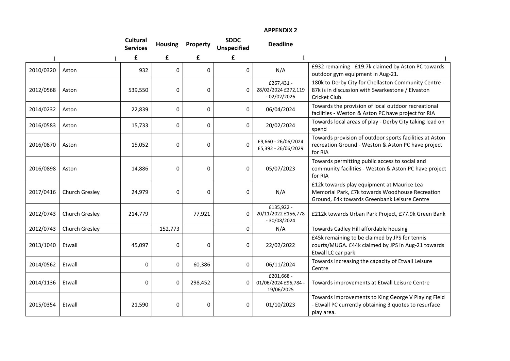#### **APPENDIX 2**

|           |                | <b>Cultural</b><br><b>Services</b> | <b>Housing</b> | Property | <b>SDDC</b><br><b>Unspecified</b> | <b>Deadline</b>                                    |                                                                                                                                               |
|-----------|----------------|------------------------------------|----------------|----------|-----------------------------------|----------------------------------------------------|-----------------------------------------------------------------------------------------------------------------------------------------------|
|           |                | £                                  | £              | £        | £                                 |                                                    |                                                                                                                                               |
| 2010/0320 | Aston          | 932                                | 0              | 0        | 0                                 | N/A                                                | £932 remaining - £19.7k claimed by Aston PC towards<br>outdoor gym equipment in Aug-21.                                                       |
| 2012/0568 | Aston          | 539,550                            | 0              | 0        | 0                                 | £267,431 -<br>28/02/2024 £272,119<br>$-02/02/2026$ | 180k to Derby City for Chellaston Community Centre -<br>87k is in discussion with Swarkestone / Elvaston<br>Cricket Club                      |
| 2014/0232 | Aston          | 22,839                             | $\Omega$       | 0        | 0                                 | 06/04/2024                                         | Towards the provision of local outdoor recreational<br>facilities - Weston & Aston PC have project for RIA                                    |
| 2016/0583 | Aston          | 15,733                             | 0              | 0        | 0                                 | 20/02/2024                                         | Towards local areas of play - Derby City taking lead on<br>spend                                                                              |
| 2016/0870 | Aston          | 15,052                             | 0              | 0        | $\Omega$                          | £9,660 - 26/06/2024<br>£5,392 - 26/06/2029         | Towards provision of outdoor sports facilities at Aston<br>recreation Ground - Weston & Aston PC have project<br>for RIA                      |
| 2016/0898 | Aston          | 14,886                             | 0              | 0        | 0                                 | 05/07/2023                                         | Towards permitting public access to social and<br>community facilities - Weston & Aston PC have project<br>for RIA                            |
| 2017/0416 | Church Gresley | 24,979                             | $\Omega$       | $\Omega$ | 0                                 | N/A                                                | £12k towards play equipment at Maurice Lea<br>Memorial Park, £7k towards Woodhouse Recreation<br>Ground, £4k towards Greenbank Leisure Centre |
| 2012/0743 | Church Gresley | 214,779                            |                | 77,921   | 0                                 | £135,922 -<br>20/11/2022 £156,778<br>$-30/08/2024$ | £212k towards Urban Park Project, £77.9k Green Bank                                                                                           |
| 2012/0743 | Church Gresley |                                    | 152,773        |          | 0                                 | N/A                                                | Towards Cadley Hill affordable housing                                                                                                        |
| 2013/1040 | Etwall         | 45,097                             | 0              | 0        | 0                                 | 22/02/2022                                         | £45k remaining to be claimed by JPS for tennis<br>courts/MUGA. £44k claimed by JPS in Aug-21 towards<br>Etwall LC car park                    |
| 2014/0562 | Etwall         | 0                                  | 0              | 60,386   | 0                                 | 06/11/2024                                         | Towards increasing the capacity of Etwall Leisure<br>Centre                                                                                   |
| 2014/1136 | Etwall         | 0                                  | 0              | 298,452  | 0                                 | £201,668 -<br>01/06/2024 £96,784 -<br>19/06/2025   | Towards improvements at Etwall Leisure Centre                                                                                                 |
| 2015/0354 | Etwall         | 21,590                             | 0              | 0        | 0                                 | 01/10/2023                                         | Towards improvements to King George V Playing Field<br>- Etwall PC currently obtaining 3 quotes to resurface<br>play area.                    |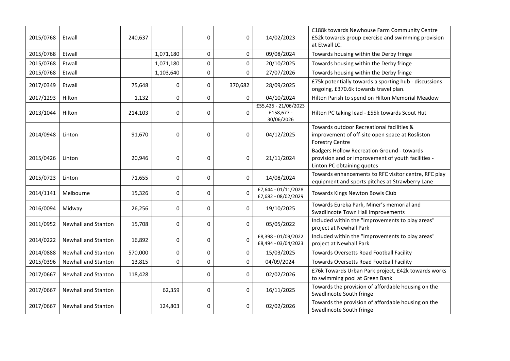| 2015/0768 | Etwall                     | 240,637 |           | 0 | 0        | 14/02/2023                                       | £188k towards Newhouse Farm Community Centre<br>£52k towards group exercise and swimming provision<br>at Etwall LC.                   |
|-----------|----------------------------|---------|-----------|---|----------|--------------------------------------------------|---------------------------------------------------------------------------------------------------------------------------------------|
| 2015/0768 | Etwall                     |         | 1,071,180 | 0 | 0        | 09/08/2024                                       | Towards housing within the Derby fringe                                                                                               |
| 2015/0768 | Etwall                     |         | 1,071,180 | 0 | 0        | 20/10/2025                                       | Towards housing within the Derby fringe                                                                                               |
| 2015/0768 | Etwall                     |         | 1,103,640 | 0 | 0        | 27/07/2026                                       | Towards housing within the Derby fringe                                                                                               |
| 2017/0349 | Etwall                     | 75,648  | 0         | 0 | 370,682  | 28/09/2025                                       | £75k potentially towards a sporting hub - discussions<br>ongoing, £370.6k towards travel plan.                                        |
| 2017/1293 | Hilton                     | 1,132   | 0         | 0 | 0        | 04/10/2024                                       | Hilton Parish to spend on Hilton Memorial Meadow                                                                                      |
| 2013/1044 | Hilton                     | 214,103 | 0         | 0 | 0        | £55,425 - 21/06/2023<br>£158,677 -<br>30/06/2026 | Hilton PC taking lead - £55k towards Scout Hut                                                                                        |
| 2014/0948 | Linton                     | 91,670  | 0         | 0 | 0        | 04/12/2025                                       | Towards outdoor Recreational facilities &<br>improvement of off-site open space at Rosliston<br><b>Forestry Centre</b>                |
| 2015/0426 | Linton                     | 20,946  | 0         | 0 | 0        | 21/11/2024                                       | <b>Badgers Hollow Recreation Ground - towards</b><br>provision and or improvement of youth facilities -<br>Linton PC obtaining quotes |
| 2015/0723 | Linton                     | 71,655  | 0         | 0 | $\Omega$ | 14/08/2024                                       | Towards enhancements to RFC visitor centre, RFC play<br>equipment and sports pitches at Strawberry Lane                               |
| 2014/1141 | Melbourne                  | 15,326  | 0         | 0 | 0        | £7,644 - 01/11/2028<br>£7,682 - 08/02/2029       | Towards Kings Newton Bowls Club                                                                                                       |
| 2016/0094 | Midway                     | 26,256  | 0         | 0 | 0        | 19/10/2025                                       | Towards Eureka Park, Miner's memorial and<br>Swadlincote Town Hall improvements                                                       |
| 2011/0952 | Newhall and Stanton        | 15,708  | 0         | 0 | 0        | 05/05/2022                                       | Included within the "Improvements to play areas"<br>project at Newhall Park                                                           |
| 2014/0222 | <b>Newhall and Stanton</b> | 16,892  | 0         | 0 | 0        | £8,398 - 01/09/2022<br>£8,494 - 03/04/2023       | Included within the "Improvements to play areas"<br>project at Newhall Park                                                           |
| 2014/0888 | <b>Newhall and Stanton</b> | 570,000 | 0         | 0 | 0        | 15/03/2025                                       | Towards Oversetts Road Football Facility                                                                                              |
| 2015/0396 | Newhall and Stanton        | 13,815  | 0         | 0 | 0        | 04/09/2024                                       | Towards Oversetts Road Football Facility                                                                                              |
| 2017/0667 | Newhall and Stanton        | 118,428 |           | 0 | 0        | 02/02/2026                                       | £76k Towards Urban Park project, £42k towards works<br>to swimming pool at Green Bank                                                 |
| 2017/0667 | Newhall and Stanton        |         | 62,359    | 0 | 0        | 16/11/2025                                       | Towards the provision of affordable housing on the<br>Swadlincote South fringe                                                        |
| 2017/0667 | Newhall and Stanton        |         | 124,803   | 0 | 0        | 02/02/2026                                       | Towards the provision of affordable housing on the<br>Swadlincote South fringe                                                        |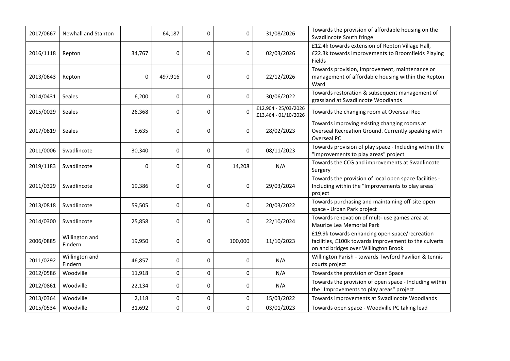| 2017/0667 | <b>Newhall and Stanton</b> |             | 64,187      | 0           | 0       | 31/08/2026                                   | Towards the provision of affordable housing on the<br>Swadlincote South fringe                                                                  |
|-----------|----------------------------|-------------|-------------|-------------|---------|----------------------------------------------|-------------------------------------------------------------------------------------------------------------------------------------------------|
| 2016/1118 | Repton                     | 34,767      | $\Omega$    | 0           | 0       | 02/03/2026                                   | £12.4k towards extension of Repton Village Hall,<br>£22.3k towards improvements to Broomfields Playing<br>Fields                                |
| 2013/0643 | Repton                     | $\mathbf 0$ | 497,916     | 0           | 0       | 22/12/2026                                   | Towards provision, improvement, maintenance or<br>management of affordable housing within the Repton<br>Ward                                    |
| 2014/0431 | Seales                     | 6,200       | $\mathbf 0$ | 0           | 0       | 30/06/2022                                   | Towards restoration & subsequent management of<br>grassland at Swadlincote Woodlands                                                            |
| 2015/0029 | <b>Seales</b>              | 26,368      | 0           | 0           | 0       | £12,904 - 25/03/2026<br>£13,464 - 01/10/2026 | Towards the changing room at Overseal Rec                                                                                                       |
| 2017/0819 | Seales                     | 5,635       | 0           | 0           | 0       | 28/02/2023                                   | Towards improving existing changing rooms at<br>Overseal Recreation Ground. Currently speaking with<br><b>Overseal PC</b>                       |
| 2011/0006 | Swadlincote                | 30,340      | $\mathbf 0$ | 0           | 0       | 08/11/2023                                   | Towards provision of play space - Including within the<br>"Improvements to play areas" project                                                  |
| 2019/1183 | Swadlincote                | 0           | 0           | 0           | 14,208  | N/A                                          | Towards the CCG and improvements at Swadlincote<br>Surgery                                                                                      |
| 2011/0329 | Swadlincote                | 19,386      | 0           | 0           | 0       | 29/03/2024                                   | Towards the provision of local open space facilities -<br>Including within the "Improvements to play areas"<br>project                          |
| 2013/0818 | Swadlincote                | 59,505      | 0           | 0           | 0       | 20/03/2022                                   | Towards purchasing and maintaining off-site open<br>space - Urban Park project                                                                  |
| 2014/0300 | Swadlincote                | 25,858      | 0           | 0           | 0       | 22/10/2024                                   | Towards renovation of multi-use games area at<br>Maurice Lea Memorial Park                                                                      |
| 2006/0885 | Willington and<br>Findern  | 19,950      | $\mathbf 0$ | 0           | 100,000 | 11/10/2023                                   | £19.9k towards enhancing open space/recreation<br>facilities, £100k towards improvement to the culverts<br>on and bridges over Willington Brook |
| 2011/0292 | Willington and<br>Findern  | 46,857      | 0           | 0           | 0       | N/A                                          | Willington Parish - towards Twyford Pavilion & tennis<br>courts project                                                                         |
| 2012/0586 | Woodville                  | 11,918      | 0           | $\mathbf 0$ | 0       | N/A                                          | Towards the provision of Open Space                                                                                                             |
| 2012/0861 | Woodville                  | 22,134      | 0           | 0           | 0       | N/A                                          | Towards the provision of open space - Including within<br>the "Improvements to play areas" project                                              |
| 2013/0364 | Woodville                  | 2,118       | 0           | 0           | 0       | 15/03/2022                                   | Towards improvements at Swadlincote Woodlands                                                                                                   |
| 2015/0534 | Woodville                  | 31,692      | 0           | $\pmb{0}$   | 0       | 03/01/2023                                   | Towards open space - Woodville PC taking lead                                                                                                   |